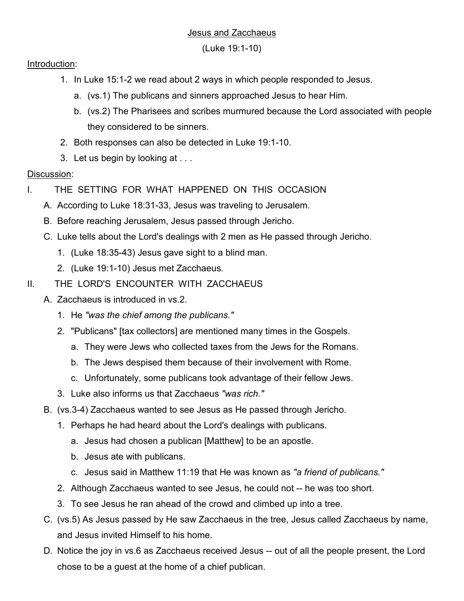## Jesus and Zacchaeus

(Luke 19:1-10)

## Introduction:

- 1. In Luke 15:1-2 we read about 2 ways in which people responded to Jesus.
	- a. (vs.1) The publicans and sinners approached Jesus to hear Him.
	- b. (vs.2) The Pharisees and scribes murmured because the Lord associated with people they considered to be sinners.
- 2. Both responses can also be detected in Luke 19:1-10.
- 3. Let us begin by looking at . . .

## Discussion:

- I. THE SETTING FOR WHAT HAPPENED ON THIS OCCASION
	- A. According to Luke 18:31-33, Jesus was traveling to Jerusalem.
	- B. Before reaching Jerusalem, Jesus passed through Jericho.
	- C. Luke tells about the Lord's dealings with 2 men as He passed through Jericho.
		- 1. (Luke 18:35-43) Jesus gave sight to a blind man.
		- 2. (Luke 19:1-10) Jesus met Zacchaeus.
- II. THE LORD'S ENCOUNTER WITH ZACCHAEUS
	- A. Zacchaeus is introduced in vs.2.
		- 1. He *"was the chief among the publicans."*
		- 2. "Publicans" [tax collectors] are mentioned many times in the Gospels.
			- a. They were Jews who collected taxes from the Jews for the Romans.
			- b. The Jews despised them because of their involvement with Rome.
			- c. Unfortunately, some publicans took advantage of their fellow Jews.
		- 3. Luke also informs us that Zacchaeus *"was rich."*
	- B. (vs.3-4) Zacchaeus wanted to see Jesus as He passed through Jericho.
		- 1. Perhaps he had heard about the Lord's dealings with publicans.
			- a. Jesus had chosen a publican [Matthew] to be an apostle.
			- b. Jesus ate with publicans.
			- c. Jesus said in Matthew 11:19 that He was known as *"a friend of publicans."*
		- 2. Although Zacchaeus wanted to see Jesus, he could not -- he was too short.
		- 3. To see Jesus he ran ahead of the crowd and climbed up into a tree.
	- C. (vs.5) As Jesus passed by He saw Zacchaeus in the tree, Jesus called Zacchaeus by name, and Jesus invited Himself to his home.
	- D. Notice the joy in vs.6 as Zacchaeus received Jesus -- out of all the people present, the Lord chose to be a guest at the home of a chief publican.